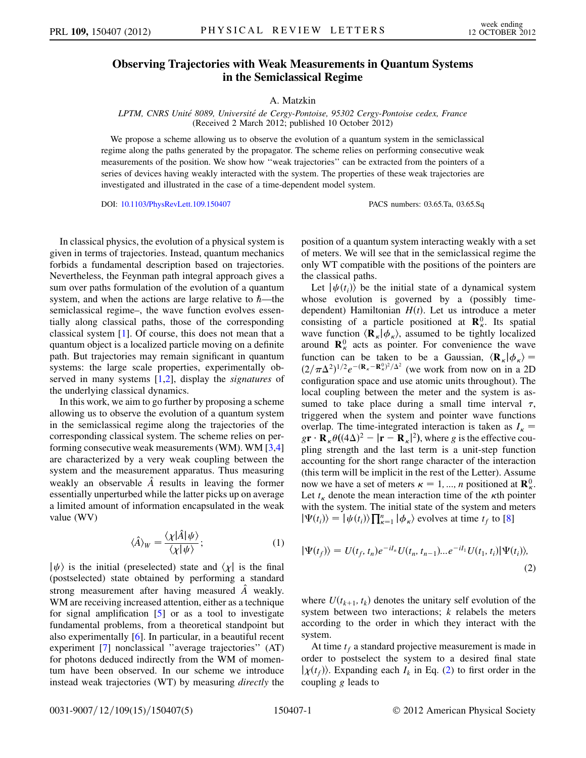## Observing Trajectories with Weak Measurements in Quantum Systems in the Semiclassical Regime

## A. Matzkin

LPTM, CNRS Unite´ 8089, Universite´ de Cergy-Pontoise, 95302 Cergy-Pontoise cedex, France (Received 2 March 2012; published 10 October 2012)

We propose a scheme allowing us to observe the evolution of a quantum system in the semiclassical regime along the paths generated by the propagator. The scheme relies on performing consecutive weak measurements of the position. We show how ''weak trajectories'' can be extracted from the pointers of a series of devices having weakly interacted with the system. The properties of these weak trajectories are investigated and illustrated in the case of a time-dependent model system.

DOI: [10.1103/PhysRevLett.109.150407](http://dx.doi.org/10.1103/PhysRevLett.109.150407) PACS numbers: 03.65.Ta, 03.65.Sq

In classical physics, the evolution of a physical system is given in terms of trajectories. Instead, quantum mechanics forbids a fundamental description based on trajectories. Nevertheless, the Feynman path integral approach gives a sum over paths formulation of the evolution of a quantum system, and when the actions are large relative to  $\hbar$ —the semiclassical regime–, the wave function evolves essentially along classical paths, those of the corresponding classical system [[1](#page-3-0)]. Of course, this does not mean that a quantum object is a localized particle moving on a definite path. But trajectories may remain significant in quantum systems: the large scale properties, experimentally observed in many systems  $[1,2]$  $[1,2]$  $[1,2]$  $[1,2]$  $[1,2]$ , display the *signatures* of the underlying classical dynamics.

In this work, we aim to go further by proposing a scheme allowing us to observe the evolution of a quantum system in the semiclassical regime along the trajectories of the corresponding classical system. The scheme relies on performing consecutive weak measurements (WM). WM [[3](#page-3-2)[,4\]](#page-3-3) are characterized by a very weak coupling between the system and the measurement apparatus. Thus measuring weakly an observable  $\hat{A}$  results in leaving the former essentially unperturbed while the latter picks up on average a limited amount of information encapsulated in the weak value (WV)

$$
\langle \hat{A} \rangle_W = \frac{\langle \chi | \hat{A} | \psi \rangle}{\langle \chi | \psi \rangle};\tag{1}
$$

<span id="page-0-1"></span> $|\psi\rangle$  is the initial (preselected) state and  $\chi$  is the final (postselected) state obtained by performing a standard strong measurement after having measured  $\hat{A}$  weakly. WM are receiving increased attention, either as a technique for signal amplification [\[5\]](#page-3-4) or as a tool to investigate fundamental problems, from a theoretical standpoint but also experimentally [\[6](#page-4-0)]. In particular, in a beautiful recent experiment [\[7](#page-4-1)] nonclassical ''average trajectories'' (AT) for photons deduced indirectly from the WM of momentum have been observed. In our scheme we introduce instead weak trajectories (WT) by measuring directly the position of a quantum system interacting weakly with a set of meters. We will see that in the semiclassical regime the only WT compatible with the positions of the pointers are the classical paths.

Let  $|\psi(t_1)\rangle$  be the initial state of a dynamical system whose evolution is governed by a (possibly timedependent) Hamiltonian  $H(t)$ . Let us introduce a meter consisting of a particle positioned at  $\mathbf{R}_{\kappa}^{0}$ . Its spatial wave function  $\langle \mathbf{R}_{k} | \phi_{k} \rangle$ , assumed to be tightly localized<br>around  $\mathbf{R}^{0}$  acts as pointer. For convenience the wave around  $\mathbf{R}_{\kappa}^{0}$  acts as pointer. For convenience the wave function can be taken to be a Gaussian,  $\langle \mathbf{R}_{\kappa} | \phi_{\kappa}$ <br> $(\gamma/\pi \Lambda^2)^{1/2}e^{-(\mathbf{R}_{\kappa}-\mathbf{R}^0_{\kappa})^2/\Lambda^2}$  (we work from now on in a  $(2/\pi\Delta^2)^{1/2}e^{-(\mathbf{R}_{\kappa}-\mathbf{R}_{\kappa}^0)^2/\Delta^2}$  (we work from now on in a 2D<br>configuration space and use atomic units throughout). The configuration space and use atomic units throughout). The local coupling between the meter and the system is assumed to take place during a small time interval  $\tau$ , triggered when the system and pointer wave functions overlap. The time-integrated interaction is taken as  $I_{\kappa}$  =  $gr \cdot \mathbf{R}_{\kappa} \theta ((4\Delta)^2 - |\mathbf{r} - \mathbf{R}_{\kappa}|^2)$ , where g is the effective cou-<br>pling strength and the last term is a unit-step function pling strength and the last term is a unit-step function accounting for the short range character of the interaction (this term will be implicit in the rest of the Letter). Assume now we have a set of meters  $\kappa = 1, ..., n$  positioned at  $\mathbf{R}_{\kappa}^{0}$ .<br>Let t denote the mean interaction time of the *κ*th pointer Let  $t_{\kappa}$  denote the mean interaction time of the  $\kappa$ th pointer with the system. The initial state of the system and meters  $|\Psi(t_i)\rangle = |\psi(t_i)\rangle \prod_{\kappa=1}^n |\phi_{\kappa}\rangle$  evolves at time  $t_f$  to [\[8](#page-4-2)]

<span id="page-0-0"></span>
$$
|\Psi(t_f)\rangle = U(t_f, t_n)e^{-iI_n}U(t_n, t_{n-1})...e^{-iI_1}U(t_1, t_i)|\Psi(t_i)\rangle,
$$
\n(2)

where  $U(t_{k+1}, t_k)$  denotes the unitary self evolution of the system between two interactions;  $k$  relabels the meters according to the order in which they interact with the system.

At time  $t_f$  a standard projective measurement is made in order to postselect the system to a desired final state  $|\chi(t_f)\rangle$ . Expanding each  $I_k$  in Eq. ([2](#page-0-0)) to first order in the coupling g leads to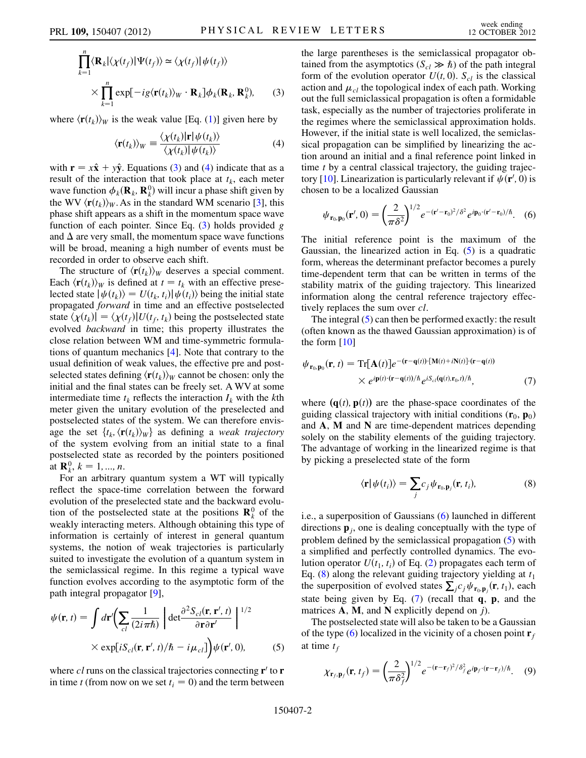<span id="page-1-0"></span>
$$
\prod_{k=1}^{n} \langle \mathbf{R}_{k} | \langle \chi(t_{f}) | \Psi(t_{f}) \rangle \simeq \langle \chi(t_{f}) | \psi(t_{f}) \rangle
$$
  
 
$$
\times \prod_{k=1}^{n} \exp[-ig \langle \mathbf{r}(t_{k}) \rangle_{W} \cdot \mathbf{R}_{k}] \phi_{k}(\mathbf{R}_{k}, \mathbf{R}_{k}^{0}), \qquad (3)
$$

<span id="page-1-1"></span>where  $\langle \mathbf{r}(t_k) \rangle_W$  is the weak value [Eq. ([1\)](#page-0-1)] given here by

$$
\langle \mathbf{r}(t_k) \rangle_W \equiv \frac{\langle \chi(t_k) | \mathbf{r} | \psi(t_k) \rangle}{\langle \chi(t_k) | \psi(t_k) \rangle} \tag{4}
$$

with  $\mathbf{r} = x\hat{\mathbf{x}} + y\hat{\mathbf{y}}$ . Equations [\(3](#page-1-0)) and [\(4\)](#page-1-1) indicate that as a result of the interaction that took place at  $t_k$ , each meter wave function  $\phi_k(\mathbf{R}_k, \mathbf{R}_k^0)$  will incur a phase shift given by the WV  $\langle \mathbf{r}(t_1) \rangle_{\text{tot}}$ . As in the standard WM scenario [3] this the WV  $\langle \mathbf{r}(t_k) \rangle_W$ . As in the standard WM scenario [[3\]](#page-3-2), this phase shift appears as a shift in the momentum space wave function of each pointer. Since Eq.  $(3)$  $(3)$  holds provided g and  $\Delta$  are very small, the momentum space wave functions will be broad, meaning a high number of events must be recorded in order to observe each shift.

The structure of  $\langle \mathbf{r}(t_k) \rangle_W$  deserves a special comment. Each  $\langle \mathbf{r}(t_k) \rangle_W$  is defined at  $t = t_k$  with an effective preselected state  $|\psi(t_k)\rangle = U(t_k, t_i)|\psi(t_i)\rangle$  being the initial state propagated forward in time and an effective postselected state  $\langle \chi(t_k) | = \langle \chi(t_f) | U(t_f, t_k) \rangle$  being the postselected state evolved backward in time; this property illustrates the close relation between WM and time-symmetric formulations of quantum mechanics [[4](#page-3-3)]. Note that contrary to the usual definition of weak values, the effective pre and postselected states defining  $\langle \mathbf{r}(t_k) \rangle_W$  cannot be chosen: only the initial and the final states can be freely set. A WV at some intermediate time  $t_k$  reflects the interaction  $I_k$  with the kth meter given the unitary evolution of the preselected and postselected states of the system. We can therefore envisage the set  $\{t_k, \langle \mathbf{r}(t_k) \rangle_W\}$  as defining a weak trajectory of the system evolving from an initial state to a final postselected state as recorded by the pointers positioned at  $\mathbf{R}_k^0$ ,  $k = 1, ..., n$ .<br>For an arbitrary

For an arbitrary quantum system a WT will typically reflect the space-time correlation between the forward evolution of the preselected state and the backward evolution of the postselected state at the positions  $\mathbf{R}_{k}^{0}$  of the weakly interacting meters. Although obtaining this type of information is certainly of interest in general quantum systems, the notion of weak trajectories is particularly suited to investigate the evolution of a quantum system in the semiclassical regime. In this regime a typical wave function evolves according to the asymptotic form of the path integral propagator [\[9](#page-4-3)],

<span id="page-1-2"></span>
$$
\psi(\mathbf{r}, t) = \int d\mathbf{r}' \bigg( \sum_{cl} \frac{1}{(2i\pi\hbar)} \left| \det \frac{\partial^2 S_{cl}(\mathbf{r}, \mathbf{r}', t)}{\partial \mathbf{r} \partial \mathbf{r}'} \right|^{1/2} \times \exp[i S_{cl}(\mathbf{r}, \mathbf{r}', t)/\hbar - i \mu_{cl}] \bigg) \psi(\mathbf{r}', 0), \tag{5}
$$

where cl runs on the classical trajectories connecting  $\mathbf{r}'$  to  $\mathbf{r}$ in time t (from now on we set  $t_i = 0$ ) and the term between the large parentheses is the semiclassical propagator obtained from the asymptotics  $(S_{cl} \gg \hbar)$  of the path integral form of the evolution operator  $U(t, 0)$ .  $S_{cl}$  is the classical action and  $\mu_{cl}$  the topological index of each path. Working out the full semiclassical propagation is often a formidable task, especially as the number of trajectories proliferate in the regimes where the semiclassical approximation holds. However, if the initial state is well localized, the semiclassical propagation can be simplified by linearizing the action around an initial and a final reference point linked in time  $t$  by a central classical trajectory, the guiding trajec-tory [\[10\]](#page-4-4). Linearization is particularly relevant if  $\psi(\mathbf{r}', \tilde{0})$  is chosen to be a localized Gaussian chosen to be a localized Gaussian

<span id="page-1-3"></span>
$$
\psi_{\mathbf{r}_0,\mathbf{p}_0}(\mathbf{r}',0) = \left(\frac{2}{\pi\delta^2}\right)^{1/2} e^{-(\mathbf{r}'-\mathbf{r}_0)^2/\delta^2} e^{i\mathbf{p}_0\cdot(\mathbf{r}'-\mathbf{r}_0)/\hbar}.\tag{6}
$$

The initial reference point is the maximum of the Gaussian, the linearized action in Eq.  $(5)$  $(5)$  is a quadratic form, whereas the determinant prefactor becomes a purely time-dependent term that can be written in terms of the stability matrix of the guiding trajectory. This linearized information along the central reference trajectory effectively replaces the sum over *cl*.

The integral [\(5\)](#page-1-2) can then be performed exactly: the result (often known as the thawed Gaussian approximation) is of the form  $[10]$  $[10]$  $[10]$ 

<span id="page-1-5"></span>
$$
\psi_{\mathbf{r}_0, \mathbf{p}_0}(\mathbf{r}, t) = \text{Tr}[\mathbf{A}(t)] e^{-(\mathbf{r} - \mathbf{q}(t)) \cdot [\mathbf{M}(t) + i\mathbf{N}(t)] \cdot (\mathbf{r} - \mathbf{q}(t))}
$$
\n
$$
\times e^{i\mathbf{p}(t) \cdot (\mathbf{r} - \mathbf{q}(t))/\hbar} e^{iS_{cl}(\mathbf{q}(t), \mathbf{r}_0, t)/\hbar}, \tag{7}
$$

where  $(q(t), p(t))$  are the phase-space coordinates of the guiding classical trajectory with initial conditions  $(\mathbf{r}_0, \mathbf{p}_0)$ and A, M and N are time-dependent matrices depending solely on the stability elements of the guiding trajectory. The advantage of working in the linearized regime is that by picking a preselected state of the form

$$
\langle \mathbf{r} | \psi(t_i) \rangle = \sum_j c_j \psi_{\mathbf{r}_0, \mathbf{p}_j}(\mathbf{r}, t_i), \tag{8}
$$

<span id="page-1-4"></span>i.e., a superposition of Gaussians ([6\)](#page-1-3) launched in different directions  $\mathbf{p}_i$ , one is dealing conceptually with the type of problem defined by the semiclassical propagation ([5](#page-1-2)) with a simplified and perfectly controlled dynamics. The evolution operator  $U(t_1, t_i)$  of Eq. ([2\)](#page-0-0) propagates each term of Eq. ([8\)](#page-1-4) along the relevant guiding trajectory yielding at  $t_1$ the superposition of evolved states  $\sum_j c_j \psi_{\mathbf{r}_0, \mathbf{p}_j}(\mathbf{r}, t_1)$ , each state being given by Eq. (7) (recall that  $g_n$ , n and the state being given by Eq.  $(7)$  (recall that q, p, and the matrices  $A$ ,  $M$ , and  $N$  explicitly depend on j).

<span id="page-1-6"></span>The postselected state will also be taken to be a Gaussian of the type [\(6\)](#page-1-3) localized in the vicinity of a chosen point  $\mathbf{r}_f$ at time  $t_f$ 

$$
\chi_{\mathbf{r}_f, \mathbf{p}_f}(\mathbf{r}, t_f) = \left(\frac{2}{\pi \delta_f^2}\right)^{1/2} e^{-(\mathbf{r} - \mathbf{r}_f)^2/\delta_f^2} e^{i\mathbf{p}_f \cdot (\mathbf{r} - \mathbf{r}_f)/\hbar}.
$$
 (9)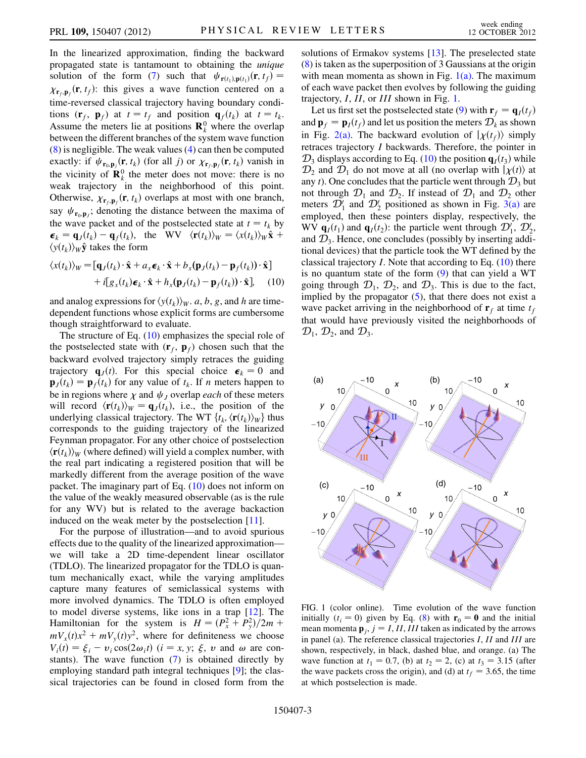In the linearized approximation, finding the backward propagated state is tantamount to obtaining the unique solution of the form [\(7](#page-1-5)) such that  $\psi_{\mathbf{r}(t_1),\mathbf{p}(t_1)}(\mathbf{r}, t_f) =$  $\chi_{\mathbf{r}_f,\mathbf{p}_f}(\mathbf{r},t_f)$ : this gives a wave function centered on a time-reversed classical trajectory having boundary conditions  $(\mathbf{r}_f, \mathbf{p}_f)$  at  $t = t_f$  and position  $\mathbf{q}_f(t_k)$  at  $t = t_k$ . Assume the meters lie at positions  $\mathbf{R}_k^0$  where the overlap between the different branches of the system wave function [\(8\)](#page-1-4) is negligible. The weak values [\(4](#page-1-1)) can then be computed exactly: if  $\psi_{\mathbf{r}_0, \mathbf{p}_j}(\mathbf{r}, t_k)$  (for all j) or  $\chi_{\mathbf{r}_f, \mathbf{p}_f}(\mathbf{r}, t_k)$  vanish in<br>the viginity of  $\mathbf{R}^0$  the meter does not move there is no the vicinity of  $\mathbf{R}_k^0$  the meter does not move: there is no weak trajectory in the neighborhood of this point. Otherwise,  $\chi_{\mathbf{r}_f, \mathbf{p}_f}(\mathbf{r}, t_k)$  overlaps at most with one branch, say  $\psi_{\mathbf{r}_0,\mathbf{p}_j}$ ; denoting the distance between the maxima of the wave packet and of the postselected state at  $t = t_k$  by  $\boldsymbol{\epsilon}_k = \mathbf{q}_J(t_k) - \mathbf{q}_f(t_k)$ , the WV  $\langle \mathbf{r}(t_k) \rangle_W = \langle x(t_k) \rangle_W \hat{\mathbf{x}}$  +  $\langle y(t_k) \rangle_W \hat{\mathbf{y}}$  takes the form

<span id="page-2-0"></span>
$$
\langle x(t_k) \rangle_W = [\mathbf{q}_J(t_k) \cdot \hat{\mathbf{x}} + a_x \boldsymbol{\epsilon}_k \cdot \hat{\mathbf{x}} + b_x (\mathbf{p}_J(t_k) - \mathbf{p}_f(t_k)) \cdot \hat{\mathbf{x}}] + i[g_x(t_k) \boldsymbol{\epsilon}_k \cdot \hat{\mathbf{x}} + h_x (\mathbf{p}_J(t_k) - \mathbf{p}_f(t_k)) \cdot \hat{\mathbf{x}}], \quad (10)
$$

and analog expressions for  $\langle y(t_k) \rangle_W$ . a, b, g, and h are timedependent functions whose explicit forms are cumbersome though straightforward to evaluate.

The structure of Eq.  $(10)$  emphasizes the special role of the postselected state with  $(\mathbf{r}_f, \mathbf{p}_f)$  chosen such that the backward evolved trajectory simply retraces the guiding trajectory  $\mathbf{q}_J(t)$ . For this special choice  $\boldsymbol{\epsilon}_k = 0$  and  $\mathbf{p}_J(t_k) = \mathbf{p}_f(t_k)$  for any value of  $t_k$ . If n meters happen to be in regions where  $\chi$  and  $\psi_j$  overlap each of these meters will record  $\langle \mathbf{r}(t_k) \rangle_W = \mathbf{q}_J(t_k)$ , i.e., the position of the underlying classical trajectory. The WT  $\{t_k, \langle \mathbf{r}(t_k) \rangle_W \}$  thus corresponds to the guiding trajectory of the linearized Feynman propagator. For any other choice of postselection  $\langle \mathbf{r}(t_k) \rangle_W$  (where defined) will yield a complex number, with the real part indicating a registered position that will be markedly different from the average position of the wave packet. The imaginary part of Eq. [\(10\)](#page-2-0) does not inform on the value of the weakly measured observable (as is the rule for any WV) but is related to the average backaction induced on the weak meter by the postselection [\[11\]](#page-4-5).

For the purpose of illustration—and to avoid spurious effects due to the quality of the linearized approximation we will take a 2D time-dependent linear oscillator (TDLO). The linearized propagator for the TDLO is quantum mechanically exact, while the varying amplitudes capture many features of semiclassical systems with more involved dynamics. The TDLO is often employed to model diverse systems, like ions in a trap [[12\]](#page-4-6). The Hamiltonian for the system is  $H = (P_x^2 + P_y^2)/2m +$ <br>mV (t)x<sup>2</sup> + mV (t)y<sup>2</sup> where for definiteness we choose  $mV_x(t)x^2 + mV_y(t)y^2$ , where for definiteness we choose  $V_i(t) = \xi_i - v_i \cos(2\omega_i t)$  ( $i = x, y; \xi, v$  and  $\omega$  are constants). The wave function (7) is obtained directly by stants). The wave function [\(7\)](#page-1-5) is obtained directly by employing standard path integral techniques [\[9\]](#page-4-3); the classical trajectories can be found in closed form from the solutions of Ermakov systems [\[13\]](#page-4-7). The preselected state [\(8\)](#page-1-4) is taken as the superposition of 3 Gaussians at the origin with mean momenta as shown in Fig.  $1(a)$ . The maximum of each wave packet then evolves by following the guiding trajectory, *I*, *II*, or *III* shown in Fig. [1](#page-2-2).

Let us first set the postselected state ([9](#page-1-6)) with  $\mathbf{r}_f = \mathbf{q}_I(t_f)$ and  $\mathbf{p}_f = \mathbf{p}_I(t_f)$  and let us position the meters  $\mathcal{D}_k$  as shown in Fig. [2\(a\)](#page-3-5). The backward evolution of  $|\chi(t_f)\rangle$  simply retraces trajectory I backwards. Therefore, the pointer in  $\mathcal{D}_3$  displays according to Eq. ([10](#page-2-0)) the position  $\mathbf{q}_I(t_3)$  while  $\mathcal{D}_2$  and  $\mathcal{D}_1$  do not move at all (no overlap with  $|\chi(t)\rangle$  at any t). One concludes that the particle went through  $\mathcal{D}_3$  but not through  $\mathcal{D}_1$  and  $\mathcal{D}_2$ . If instead of  $\mathcal{D}_1$  and  $\mathcal{D}_2$  other meters  $\mathcal{D}'_1$  and  $\mathcal{D}'_2$  positioned as shown in Fig. [3\(a\)](#page-3-6) are employed, then these pointers display, respectively, the WV  $\mathbf{q}_I(t_1)$  and  $\mathbf{q}_I(t_2)$ : the particle went through  $\mathcal{D}_1', \mathcal{D}_2'$ , and  $\mathcal{D}_2$ . Hence, one concludes (possibly by inserting addiand  $\mathcal{D}_3$ . Hence, one concludes (possibly by inserting additional devices) that the particle took the WT defined by the classical trajectory  $I$ . Note that according to Eq.  $(10)$  there is no quantum state of the form  $(9)$  $(9)$  that can yield a WT going through  $\mathcal{D}_1$ ,  $\mathcal{D}_2$ , and  $\mathcal{D}_3$ . This is due to the fact, implied by the propagator  $(5)$  $(5)$ , that there does not exist a wave packet arriving in the neighborhood of  $\mathbf{r}_f$  at time  $t_f$ that would have previously visited the neighborhoods of  $\mathcal{D}_1$ ,  $\mathcal{D}_2$ , and  $\mathcal{D}_3$ .

<span id="page-2-2"></span>

<span id="page-2-1"></span>FIG. 1 (color online). Time evolution of the wave function initially  $(t_i = 0)$  given by Eq. [\(8](#page-1-4)) with  $\mathbf{r}_0 = \mathbf{0}$  and the initial mean momenta  $\mathbf{p}_i$ ,  $j = I$ , II, III taken as indicated by the arrows in panel (a). The reference classical trajectories I, II and III are shown, respectively, in black, dashed blue, and orange. (a) The wave function at  $t_1 = 0.7$ , (b) at  $t_2 = 2$ , (c) at  $t_3 = 3.15$  (after the wave packets cross the origin), and (d) at  $t_f = 3.65$ , the time at which postselection is made.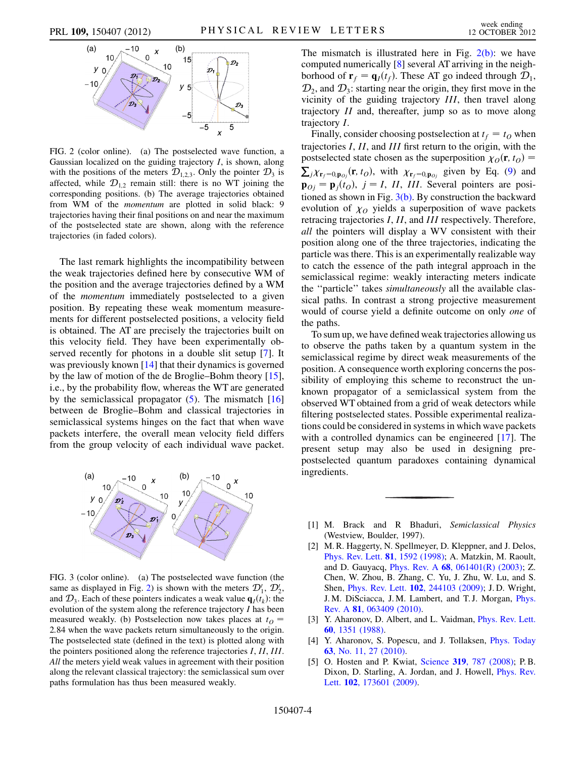<span id="page-3-7"></span>

<span id="page-3-5"></span>FIG. 2 (color online). (a) The postselected wave function, a Gaussian localized on the guiding trajectory  $I$ , is shown, along with the positions of the meters  $\mathcal{D}_{1,2,3}$ . Only the pointer  $\mathcal{D}_3$  is affected, while  $\mathcal{D}_{1,2}$  remain still: there is no WT joining the corresponding positions. (b) The average trajectories obtained from WM of the momentum are plotted in solid black: 9 trajectories having their final positions on and near the maximum of the postselected state are shown, along with the reference trajectories (in faded colors).

The last remark highlights the incompatibility between the weak trajectories defined here by consecutive WM of the position and the average trajectories defined by a WM of the momentum immediately postselected to a given position. By repeating these weak momentum measurements for different postselected positions, a velocity field is obtained. The AT are precisely the trajectories built on this velocity field. They have been experimentally observed recently for photons in a double slit setup [\[7](#page-4-1)]. It was previously known [[14](#page-4-8)] that their dynamics is governed by the law of motion of the de Broglie–Bohm theory [[15\]](#page-4-9), i.e., by the probability flow, whereas the WT are generated by the semiclassical propagator  $(5)$  $(5)$ . The mismatch [\[16\]](#page-4-10) between de Broglie–Bohm and classical trajectories in semiclassical systems hinges on the fact that when wave packets interfere, the overall mean velocity field differs from the group velocity of each individual wave packet.



<span id="page-3-6"></span>FIG. 3 (color online). (a) The postselected wave function (the same as displayed in Fig. [2\)](#page-3-7) is shown with the meters  $\mathcal{D}'_1$ ,  $\mathcal{D}'_2$ , and  $\mathcal{D}_3$ . Each of these pointers indicates a weak value  $\mathbf{q}_I(t_k)$ : the evolution of the system along the reference trajectory  $I$  has been measured weakly. (b) Postselection now takes places at  $t_0$  = 2:84 when the wave packets return simultaneously to the origin. The postselected state (defined in the text) is plotted along with the pointers positioned along the reference trajectories I, II, III. All the meters yield weak values in agreement with their position along the relevant classical trajectory: the semiclassical sum over paths formulation has thus been measured weakly.

The mismatch is illustrated here in Fig.  $2(b)$ : we have computed numerically [[8\]](#page-4-2) several AT arriving in the neighborhood of  $\mathbf{r}_f = \mathbf{q}_I(t_f)$ . These AT go indeed through  $\mathcal{D}_1$ ,  $\mathcal{D}_2$ , and  $\mathcal{D}_3$ : starting near the origin, they first move in the vicinity of the guiding trajectory III, then travel along trajectory II and, thereafter, jump so as to move along trajectory I.

Finally, consider choosing postselection at  $t_f = t_O$  when trajectories I, II, and III first return to the origin, with the postselected state chosen as the superposition  $\chi_0(\mathbf{r}, t_0) =$  $\sum_{j} \chi_{\mathbf{r}_{j}=0,\mathbf{p}_{0j}}(\mathbf{r},t_{0}),$  with  $\chi_{\mathbf{r}_{j}=0,\mathbf{p}_{0j}}$  given by Eq. ([9](#page-1-6)) and  $\mathbf{p}_{0i} = \mathbf{p}_i(t_0)$ ,  $j = I$ , II, III. Several pointers are positioned as shown in Fig.  $3(b)$ . By construction the backward evolution of  $\chi_0$  yields a superposition of wave packets retracing trajectories I, II, and III respectively. Therefore, all the pointers will display a WV consistent with their position along one of the three trajectories, indicating the particle was there. This is an experimentally realizable way to catch the essence of the path integral approach in the semiclassical regime: weakly interacting meters indicate the ''particle'' takes simultaneously all the available classical paths. In contrast a strong projective measurement would of course yield a definite outcome on only one of the paths.

To sum up, we have defined weak trajectories allowing us to observe the paths taken by a quantum system in the semiclassical regime by direct weak measurements of the position. A consequence worth exploring concerns the possibility of employing this scheme to reconstruct the unknown propagator of a semiclassical system from the observed WT obtained from a grid of weak detectors while filtering postselected states. Possible experimental realizations could be considered in systems in which wave packets with a controlled dynamics can be engineered [\[17\]](#page-4-11). The present setup may also be used in designing prepostselected quantum paradoxes containing dynamical ingredients.

- <span id="page-3-1"></span><span id="page-3-0"></span>[1] M. Brack and R Bhaduri, Semiclassical Physics (Westview, Boulder, 1997).
- [2] M. R. Haggerty, N. Spellmeyer, D. Kleppner, and J. Delos, [Phys. Rev. Lett.](http://dx.doi.org/10.1103/PhysRevLett.81.1592) 81, 1592 (1998); A. Matzkin, M. Raoult, and D. Gauyacq, Phys. Rev. A 68[, 061401\(R\) \(2003\);](http://dx.doi.org/10.1103/PhysRevA.68.061401) Z. Chen, W. Zhou, B. Zhang, C. Yu, J. Zhu, W. Lu, and S. Shen, Phys. Rev. Lett. 102[, 244103 \(2009\);](http://dx.doi.org/10.1103/PhysRevLett.102.244103) J. D. Wright, J. M. DiSciacca, J. M. Lambert, and T. J. Morgan, [Phys.](http://dx.doi.org/10.1103/PhysRevA.81.063409) Rev. A 81[, 063409 \(2010\)](http://dx.doi.org/10.1103/PhysRevA.81.063409).
- <span id="page-3-3"></span><span id="page-3-2"></span>[3] Y. Aharonov, D. Albert, and L. Vaidman, *[Phys. Rev. Lett.](http://dx.doi.org/10.1103/PhysRevLett.60.1351)* 60[, 1351 \(1988\).](http://dx.doi.org/10.1103/PhysRevLett.60.1351)
- <span id="page-3-4"></span>[4] Y. Aharonov, S. Popescu, and J. Tollaksen, [Phys. Today](http://dx.doi.org/10.1063/1.3518209) 63[, No. 11, 27 \(2010\)](http://dx.doi.org/10.1063/1.3518209).
- [5] O. Hosten and P. Kwiat, Science 319[, 787 \(2008\);](http://dx.doi.org/10.1126/science.1152697) P.B. Dixon, D. Starling, A. Jordan, and J. Howell, [Phys. Rev.](http://dx.doi.org/10.1103/PhysRevLett.102.173601) Lett. **102**[, 173601 \(2009\).](http://dx.doi.org/10.1103/PhysRevLett.102.173601)